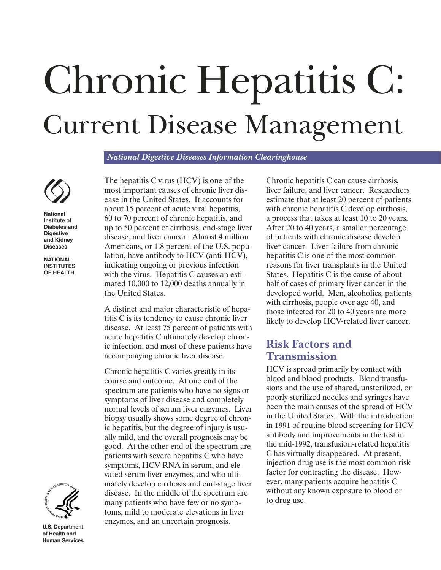# Chronic Hepatitis C: Current Disease Management

*National Digestive Diseases Information Clearinghouse*

**National Institute of Diabetes and Digestive and Kidney Diseases**

**NATIONAL INSTITUTES OF HEALTH** The hepatitis C virus (HCV) is one of the most important causes of chronic liver disease in the United States. It accounts for about 15 percent of acute viral hepatitis, 60 to 70 percent of chronic hepatitis, and up to 50 percent of cirrhosis, end-stage liver disease, and liver cancer. Almost 4 million Americans, or 1.8 percent of the U.S. population, have antibody to HCV (anti-HCV), indicating ongoing or previous infection with the virus. Hepatitis C causes an estimated 10,000 to 12,000 deaths annually in the United States.

A distinct and major characteristic of hepatitis C is its tendency to cause chronic liver disease. At least 75 percent of patients with acute hepatitis C ultimately develop chronic infection, and most of these patients have accompanying chronic liver disease.

Chronic hepatitis C varies greatly in its course and outcome. At one end of the spectrum are patients who have no signs or symptoms of liver disease and completely normal levels of serum liver enzymes. Liver biopsy usually shows some degree of chronic hepatitis, but the degree of injury is usually mild, and the overall prognosis may be good. At the other end of the spectrum are patients with severe hepatitis C who have symptoms, HCV RNA in serum, and elevated serum liver enzymes, and who ultimately develop cirrhosis and end-stage liver disease. In the middle of the spectrum are many patients who have few or no symptoms, mild to moderate elevations in liver enzymes, and an uncertain prognosis.

Chronic hepatitis C can cause cirrhosis, liver failure, and liver cancer. Researchers estimate that at least 20 percent of patients with chronic hepatitis C develop cirrhosis, a process that takes at least 10 to 20 years. After 20 to 40 years, a smaller percentage of patients with chronic disease develop liver cancer. Liver failure from chronic hepatitis C is one of the most common reasons for liver transplants in the United States. Hepatitis C is the cause of about half of cases of primary liver cancer in the developed world. Men, alcoholics, patients with cirrhosis, people over age 40, and those infected for 20 to 40 years are more likely to develop HCV-related liver cancer.

# **Risk Factors and Transmission**

HCV is spread primarily by contact with blood and blood products. Blood transfusions and the use of shared, unsterilized, or poorly sterilized needles and syringes have been the main causes of the spread of HCV in the United States. With the introduction in 1991 of routine blood screening for HCV antibody and improvements in the test in the mid-1992, transfusion-related hepatitis C has virtually disappeared. At present, injection drug use is the most common risk factor for contracting the disease. However, many patients acquire hepatitis C without any known exposure to blood or to drug use.



**U.S. Department of Health and Human Services**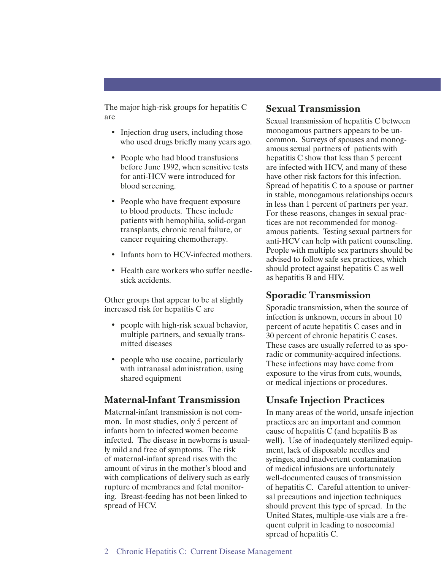The major high-risk groups for hepatitis C are

- Injection drug users, including those who used drugs briefly many years ago.
- People who had blood transfusions before June 1992, when sensitive tests for anti-HCV were introduced for blood screening.
- People who have frequent exposure to blood products. These include patients with hemophilia, solid-organ transplants, chronic renal failure, or cancer requiring chemotherapy.
- Infants born to HCV-infected mothers.
- Health care workers who suffer needlestick accidents.

Other groups that appear to be at slightly increased risk for hepatitis C are

- people with high-risk sexual behavior, multiple partners, and sexually transmitted diseases
- people who use cocaine, particularly with intranasal administration, using shared equipment

# **Maternal-Infant Transmission**

Maternal-infant transmission is not common. In most studies, only 5 percent of infants born to infected women become infected. The disease in newborns is usually mild and free of symptoms. The risk of maternal-infant spread rises with the amount of virus in the mother's blood and with complications of delivery such as early rupture of membranes and fetal monitoring. Breast-feeding has not been linked to spread of HCV.

#### **Sexual Transmission**

Sexual transmission of hepatitis C between monogamous partners appears to be uncommon. Surveys of spouses and monogamous sexual partners of patients with hepatitis C show that less than 5 percent are infected with HCV, and many of these have other risk factors for this infection. Spread of hepatitis C to a spouse or partner in stable, monogamous relationships occurs in less than 1 percent of partners per year. For these reasons, changes in sexual practices are not recommended for monogamous patients. Testing sexual partners for anti-HCV can help with patient counseling. People with multiple sex partners should be advised to follow safe sex practices, which should protect against hepatitis C as well as hepatitis B and HIV.

## **Sporadic Transmission**

Sporadic transmission, when the source of infection is unknown, occurs in about 10 percent of acute hepatitis C cases and in 30 percent of chronic hepatitis C cases. These cases are usually referred to as sporadic or community-acquired infections. These infections may have come from exposure to the virus from cuts, wounds, or medical injections or procedures.

# **Unsafe Injection Practices**

In many areas of the world, unsafe injection practices are an important and common cause of hepatitis C (and hepatitis B as well). Use of inadequately sterilized equipment, lack of disposable needles and syringes, and inadvertent contamination of medical infusions are unfortunately well-documented causes of transmission of hepatitis C. Careful attention to universal precautions and injection techniques should prevent this type of spread. In the United States, multiple-use vials are a frequent culprit in leading to nosocomial spread of hepatitis C.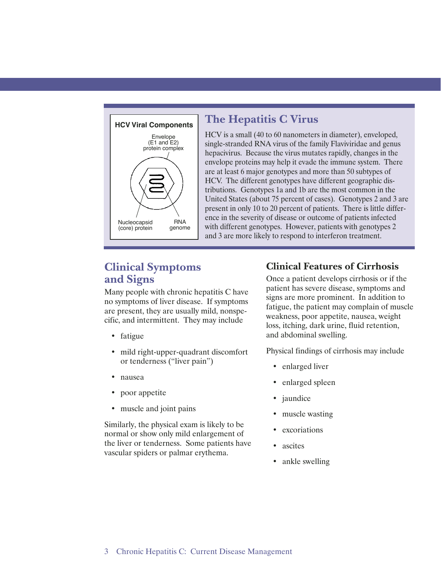

# **The Hepatitis C Virus**

HCV is a small (40 to 60 nanometers in diameter), enveloped, single-stranded RNA virus of the family Flaviviridae and genus hepacivirus. Because the virus mutates rapidly, changes in the envelope proteins may help it evade the immune system. There are at least 6 major genotypes and more than 50 subtypes of HCV. The different genotypes have different geographic distributions. Genotypes 1a and 1b are the most common in the United States (about 75 percent of cases). Genotypes 2 and 3 are present in only 10 to 20 percent of patients. There is little difference in the severity of disease or outcome of patients infected with different genotypes. However, patients with genotypes 2 and 3 are more likely to respond to interferon treatment.

# **Clinical Symptoms and Signs**

Many people with chronic hepatitis C have no symptoms of liver disease. If symptoms are present, they are usually mild, nonspecific, and intermittent. They may include

- fatigue
- mild right-upper-quadrant discomfort or tenderness ("liver pain")
- nausea
- poor appetite
- muscle and joint pains

Similarly, the physical exam is likely to be normal or show only mild enlargement of the liver or tenderness. Some patients have vascular spiders or palmar erythema.

# **Clinical Features of Cirrhosis**

Once a patient develops cirrhosis or if the patient has severe disease, symptoms and signs are more prominent. In addition to fatigue, the patient may complain of muscle weakness, poor appetite, nausea, weight loss, itching, dark urine, fluid retention, and abdominal swelling.

Physical findings of cirrhosis may include

- enlarged liver
- enlarged spleen
- jaundice
- muscle wasting
- excoriations
- ascites
- ankle swelling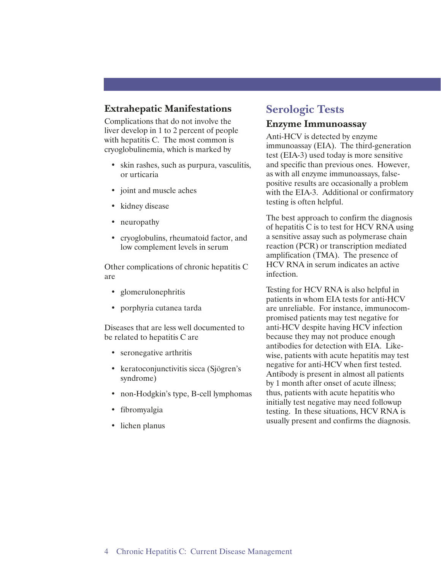# **Extrahepatic Manifestations**

Complications that do not involve the liver develop in 1 to 2 percent of people with hepatitis C. The most common is cryoglobulinemia, which is marked by

- skin rashes, such as purpura, vasculitis, or urticaria
- joint and muscle aches
- kidney disease
- neuropathy
- cryoglobulins, rheumatoid factor, and low complement levels in serum

Other complications of chronic hepatitis C are

- glomerulonephritis
- porphyria cutanea tarda

Diseases that are less well documented to be related to hepatitis C are

- seronegative arthritis
- keratoconjunctivitis sicca (Sjögren's syndrome)
- non-Hodgkin's type, B-cell lymphomas
- fibromyalgia
- lichen planus

# **Serologic Tests**

#### **Enzyme Immunoassay**

Anti-HCV is detected by enzyme immunoassay (EIA). The third-generation test (EIA-3) used today is more sensitive and specific than previous ones. However, as with all enzyme immunoassays, falsepositive results are occasionally a problem with the EIA-3. Additional or confirmatory testing is often helpful.

The best approach to confirm the diagnosis of hepatitis C is to test for HCV RNA using a sensitive assay such as polymerase chain reaction (PCR) or transcription mediated amplification (TMA). The presence of HCV RNA in serum indicates an active infection.

Testing for HCV RNA is also helpful in patients in whom EIA tests for anti-HCV are unreliable. For instance, immunocompromised patients may test negative for anti-HCV despite having HCV infection because they may not produce enough antibodies for detection with EIA. Likewise, patients with acute hepatitis may test negative for anti-HCV when first tested. Antibody is present in almost all patients by 1 month after onset of acute illness; thus, patients with acute hepatitis who initially test negative may need followup testing. In these situations, HCV RNA is usually present and confirms the diagnosis.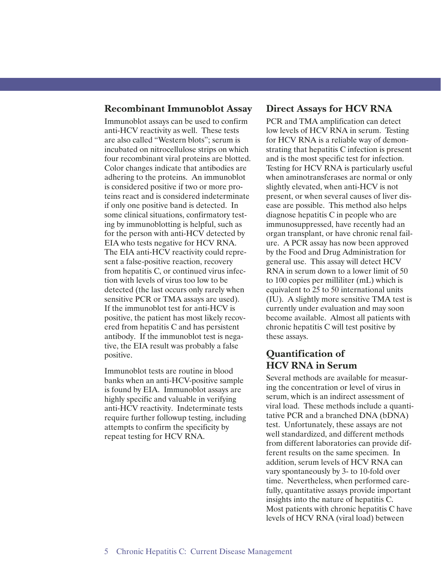### **Recombinant Immunoblot Assay**

Immunoblot assays can be used to confirm anti-HCV reactivity as well. These tests are also called "Western blots"; serum is incubated on nitrocellulose strips on which four recombinant viral proteins are blotted. Color changes indicate that antibodies are adhering to the proteins. An immunoblot is considered positive if two or more proteins react and is considered indeterminate if only one positive band is detected. In some clinical situations, confirmatory testing by immunoblotting is helpful, such as for the person with anti-HCV detected by EIA who tests negative for HCV RNA. The EIA anti-HCV reactivity could represent a false-positive reaction, recovery from hepatitis C, or continued virus infection with levels of virus too low to be detected (the last occurs only rarely when sensitive PCR or TMA assays are used). If the immunoblot test for anti-HCV is positive, the patient has most likely recovered from hepatitis C and has persistent antibody. If the immunoblot test is negative, the EIA result was probably a false positive.

Immunoblot tests are routine in blood banks when an anti-HCV-positive sample is found by EIA. Immunoblot assays are highly specific and valuable in verifying anti-HCV reactivity. Indeterminate tests require further followup testing, including attempts to confirm the specificity by repeat testing for HCV RNA.

#### **Direct Assays for HCV RNA**

PCR and TMA amplification can detect low levels of HCV RNA in serum. Testing for HCV RNA is a reliable way of demonstrating that hepatitis C infection is present and is the most specific test for infection. Testing for HCV RNA is particularly useful when aminotransferases are normal or only slightly elevated, when anti-HCV is not present, or when several causes of liver disease are possible. This method also helps diagnose hepatitis C in people who are immunosuppressed, have recently had an organ transplant, or have chronic renal failure. A PCR assay has now been approved by the Food and Drug Administration for general use. This assay will detect HCV RNA in serum down to a lower limit of 50 to 100 copies per milliliter (mL) which is equivalent to 25 to 50 international units (IU). A slightly more sensitive TMA test is currently under evaluation and may soon become available. Almost all patients with chronic hepatitis C will test positive by these assays.

## **Quantification of HCV RNA in Serum**

Several methods are available for measuring the concentration or level of virus in serum, which is an indirect assessment of viral load. These methods include a quantitative PCR and a branched DNA (bDNA) test. Unfortunately, these assays are not well standardized, and different methods from different laboratories can provide different results on the same specimen. In addition, serum levels of HCV RNA can vary spontaneously by 3- to 10-fold over time. Nevertheless, when performed carefully, quantitative assays provide important insights into the nature of hepatitis C. Most patients with chronic hepatitis C have levels of HCV RNA (viral load) between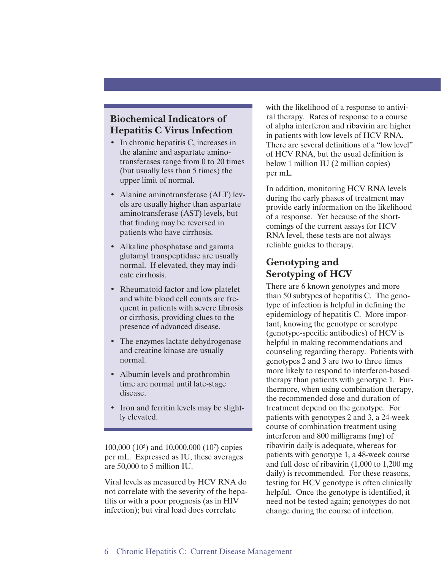# **Biochemical Indicators of Hepatitis C Virus Infection**

- In chronic hepatitis C, increases in the alanine and aspartate aminotransferases range from 0 to 20 times (but usually less than 5 times) the upper limit of normal.
- Alanine aminotransferase (ALT) levels are usually higher than aspartate aminotransferase (AST) levels, but that finding may be reversed in patients who have cirrhosis.
- Alkaline phosphatase and gamma glutamyl transpeptidase are usually normal. If elevated, they may indicate cirrhosis.
- Rheumatoid factor and low platelet and white blood cell counts are frequent in patients with severe fibrosis or cirrhosis, providing clues to the presence of advanced disease.
- The enzymes lactate dehydrogenase and creatine kinase are usually normal.
- Albumin levels and prothrombin time are normal until late-stage disease.
- Iron and ferritin levels may be slightly elevated.

100,000 (105) and 10,000,000 (107 ) copies per mL. Expressed as IU, these averages are 50,000 to 5 million IU.

Viral levels as measured by HCV RNA do not correlate with the severity of the hepatitis or with a poor prognosis (as in HIV infection); but viral load does correlate

with the likelihood of a response to antiviral therapy. Rates of response to a course of alpha interferon and ribavirin are higher in patients with low levels of HCV RNA. There are several definitions of a "low level" of HCV RNA, but the usual definition is below 1 million IU (2 million copies) per mL.

In addition, monitoring HCV RNA levels during the early phases of treatment may provide early information on the likelihood of a response. Yet because of the shortcomings of the current assays for HCV RNA level, these tests are not always reliable guides to therapy.

# **Genotyping and Serotyping of HCV**

There are 6 known genotypes and more than 50 subtypes of hepatitis C. The genotype of infection is helpful in defining the epidemiology of hepatitis C. More important, knowing the genotype or serotype (genotype-specific antibodies) of HCV is helpful in making recommendations and counseling regarding therapy. Patients with genotypes 2 and 3 are two to three times more likely to respond to interferon-based therapy than patients with genotype 1. Furthermore, when using combination therapy, the recommended dose and duration of treatment depend on the genotype. For patients with genotypes 2 and 3, a 24-week course of combination treatment using interferon and 800 milligrams (mg) of ribavirin daily is adequate, whereas for patients with genotype 1, a 48-week course and full dose of ribavirin (1,000 to 1,200 mg daily) is recommended. For these reasons, testing for HCV genotype is often clinically helpful. Once the genotype is identified, it need not be tested again; genotypes do not change during the course of infection.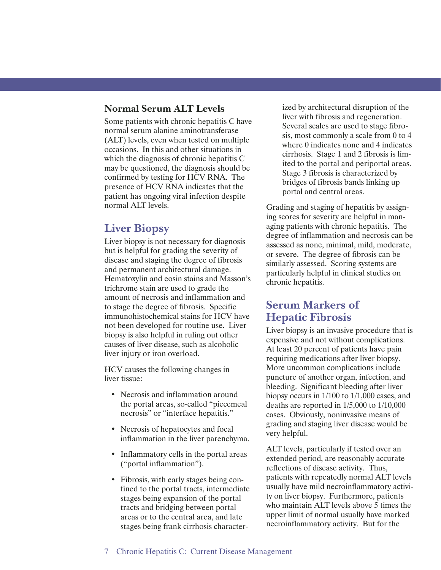#### **Normal Serum ALT Levels**

Some patients with chronic hepatitis C have normal serum alanine aminotransferase (ALT) levels, even when tested on multiple occasions. In this and other situations in which the diagnosis of chronic hepatitis C may be questioned, the diagnosis should be confirmed by testing for HCV RNA. The presence of HCV RNA indicates that the patient has ongoing viral infection despite normal ALT levels.

# **Liver Biopsy**

Liver biopsy is not necessary for diagnosis but is helpful for grading the severity of disease and staging the degree of fibrosis and permanent architectural damage. Hematoxylin and eosin stains and Masson's trichrome stain are used to grade the amount of necrosis and inflammation and to stage the degree of fibrosis. Specific immunohistochemical stains for HCV have not been developed for routine use. Liver biopsy is also helpful in ruling out other causes of liver disease, such as alcoholic liver injury or iron overload.

HCV causes the following changes in liver tissue:

- Necrosis and inflammation around the portal areas, so-called "piecemeal necrosis" or "interface hepatitis."
- Necrosis of hepatocytes and focal inflammation in the liver parenchyma.
- Inflammatory cells in the portal areas ("portal inflammation").
- Fibrosis, with early stages being confined to the portal tracts, intermediate stages being expansion of the portal tracts and bridging between portal areas or to the central area, and late stages being frank cirrhosis character-

ized by architectural disruption of the liver with fibrosis and regeneration. Several scales are used to stage fibrosis, most commonly a scale from 0 to 4 where 0 indicates none and 4 indicates cirrhosis. Stage 1 and 2 fibrosis is limited to the portal and periportal areas. Stage 3 fibrosis is characterized by bridges of fibrosis bands linking up portal and central areas.

Grading and staging of hepatitis by assigning scores for severity are helpful in managing patients with chronic hepatitis. The degree of inflammation and necrosis can be assessed as none, minimal, mild, moderate, or severe. The degree of fibrosis can be similarly assessed. Scoring systems are particularly helpful in clinical studies on chronic hepatitis.

# **Serum Markers of Hepatic Fibrosis**

Liver biopsy is an invasive procedure that is expensive and not without complications. At least 20 percent of patients have pain requiring medications after liver biopsy. More uncommon complications include puncture of another organ, infection, and bleeding. Significant bleeding after liver biopsy occurs in 1/100 to 1/1,000 cases, and deaths are reported in 1/5,000 to 1/10,000 cases. Obviously, noninvasive means of grading and staging liver disease would be very helpful.

ALT levels, particularly if tested over an extended period, are reasonably accurate reflections of disease activity. Thus, patients with repeatedly normal ALT levels usually have mild necroinflammatory activity on liver biopsy. Furthermore, patients who maintain ALT levels above 5 times the upper limit of normal usually have marked necroinflammatory activity. But for the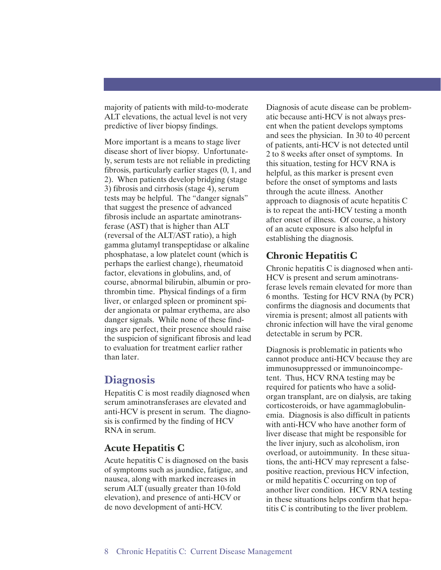majority of patients with mild-to-moderate ALT elevations, the actual level is not very predictive of liver biopsy findings.

More important is a means to stage liver disease short of liver biopsy. Unfortunately, serum tests are not reliable in predicting fibrosis, particularly earlier stages (0, 1, and 2). When patients develop bridging (stage 3) fibrosis and cirrhosis (stage 4), serum tests may be helpful. The "danger signals" that suggest the presence of advanced fibrosis include an aspartate aminotransferase (AST) that is higher than ALT (reversal of the ALT/AST ratio), a high gamma glutamyl transpeptidase or alkaline phosphatase, a low platelet count (which is perhaps the earliest change), rheumatoid factor, elevations in globulins, and, of course, abnormal bilirubin, albumin or prothrombin time. Physical findings of a firm liver, or enlarged spleen or prominent spider angionata or palmar erythema, are also danger signals. While none of these findings are perfect, their presence should raise the suspicion of significant fibrosis and lead to evaluation for treatment earlier rather than later.

# **Diagnosis**

Hepatitis C is most readily diagnosed when serum aminotransferases are elevated and anti-HCV is present in serum. The diagnosis is confirmed by the finding of HCV RNA in serum.

## **Acute Hepatitis C**

Acute hepatitis C is diagnosed on the basis of symptoms such as jaundice, fatigue, and nausea, along with marked increases in serum ALT (usually greater than 10-fold elevation), and presence of anti-HCV or de novo development of anti-HCV.

Diagnosis of acute disease can be problematic because anti-HCV is not always present when the patient develops symptoms and sees the physician. In 30 to 40 percent of patients, anti-HCV is not detected until 2 to 8 weeks after onset of symptoms. In this situation, testing for HCV RNA is helpful, as this marker is present even before the onset of symptoms and lasts through the acute illness. Another approach to diagnosis of acute hepatitis C is to repeat the anti-HCV testing a month after onset of illness. Of course, a history of an acute exposure is also helpful in establishing the diagnosis.

# **Chronic Hepatitis C**

Chronic hepatitis C is diagnosed when anti-HCV is present and serum aminotransferase levels remain elevated for more than 6 months. Testing for HCV RNA (by PCR) confirms the diagnosis and documents that viremia is present; almost all patients with chronic infection will have the viral genome detectable in serum by PCR.

Diagnosis is problematic in patients who cannot produce anti-HCV because they are immunosuppressed or immunoincompetent. Thus, HCV RNA testing may be required for patients who have a solidorgan transplant, are on dialysis, are taking corticosteroids, or have agammaglobulinemia. Diagnosis is also difficult in patients with anti-HCV who have another form of liver disease that might be responsible for the liver injury, such as alcoholism, iron overload, or autoimmunity. In these situations, the anti-HCV may represent a falsepositive reaction, previous HCV infection, or mild hepatitis C occurring on top of another liver condition. HCV RNA testing in these situations helps confirm that hepatitis C is contributing to the liver problem.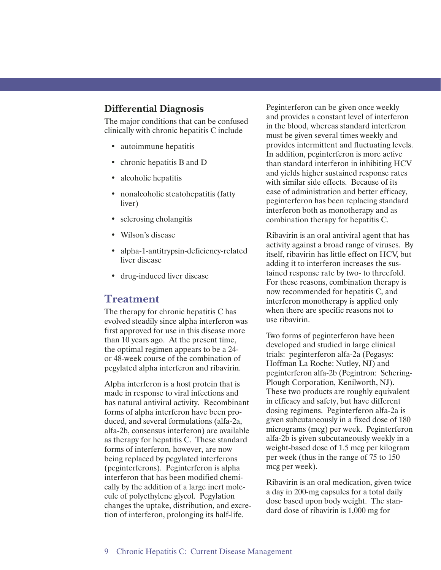## **Differential Diagnosis**

The major conditions that can be confused clinically with chronic hepatitis C include

- autoimmune hepatitis
- chronic hepatitis B and D
- alcoholic hepatitis
- nonalcoholic steatohepatitis (fatty liver)
- sclerosing cholangitis
- Wilson's disease
- alpha-1-antitrypsin-deficiency-related liver disease
- drug-induced liver disease

#### **Treatment**

The therapy for chronic hepatitis C has evolved steadily since alpha interferon was first approved for use in this disease more than 10 years ago. At the present time, the optimal regimen appears to be a 24 or 48-week course of the combination of pegylated alpha interferon and ribavirin.

Alpha interferon is a host protein that is made in response to viral infections and has natural antiviral activity. Recombinant forms of alpha interferon have been produced, and several formulations (alfa-2a, alfa-2b, consensus interferon) are available as therapy for hepatitis C. These standard forms of interferon, however, are now being replaced by pegylated interferons (peginterferons). Peginterferon is alpha interferon that has been modified chemically by the addition of a large inert molecule of polyethylene glycol. Pegylation changes the uptake, distribution, and excretion of interferon, prolonging its half-life.

Peginterferon can be given once weekly and provides a constant level of interferon in the blood, whereas standard interferon must be given several times weekly and provides intermittent and fluctuating levels. In addition, peginterferon is more active than standard interferon in inhibiting HCV and yields higher sustained response rates with similar side effects. Because of its ease of administration and better efficacy, peginterferon has been replacing standard interferon both as monotherapy and as combination therapy for hepatitis C.

Ribavirin is an oral antiviral agent that has activity against a broad range of viruses. By itself, ribavirin has little effect on HCV, but adding it to interferon increases the sustained response rate by two- to threefold. For these reasons, combination therapy is now recommended for hepatitis C, and interferon monotherapy is applied only when there are specific reasons not to use ribavirin.

Two forms of peginterferon have been developed and studied in large clinical trials: peginterferon alfa-2a (Pegasys: Hoffman La Roche: Nutley, NJ) and peginterferon alfa-2b (Pegintron: Schering-Plough Corporation, Kenilworth, NJ). These two products are roughly equivalent in efficacy and safety, but have different dosing regimens. Peginterferon alfa-2a is given subcutaneously in a fixed dose of 180 micrograms (mcg) per week. Peginterferon alfa-2b is given subcutaneously weekly in a weight-based dose of 1.5 mcg per kilogram per week (thus in the range of 75 to 150 mcg per week).

Ribavirin is an oral medication, given twice a day in 200-mg capsules for a total daily dose based upon body weight. The standard dose of ribavirin is 1,000 mg for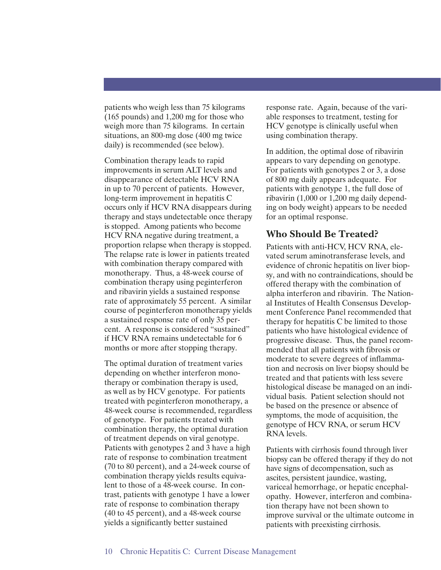patients who weigh less than 75 kilograms (165 pounds) and 1,200 mg for those who weigh more than 75 kilograms. In certain situations, an 800-mg dose (400 mg twice daily) is recommended (see below).

Combination therapy leads to rapid improvements in serum ALT levels and disappearance of detectable HCV RNA in up to 70 percent of patients. However, long-term improvement in hepatitis C occurs only if HCV RNA disappears during therapy and stays undetectable once therapy is stopped. Among patients who become HCV RNA negative during treatment, a proportion relapse when therapy is stopped. The relapse rate is lower in patients treated with combination therapy compared with monotherapy. Thus, a 48-week course of combination therapy using peginterferon and ribavirin yields a sustained response rate of approximately 55 percent. A similar course of peginterferon monotherapy yields a sustained response rate of only 35 percent. A response is considered "sustained" if HCV RNA remains undetectable for 6 months or more after stopping therapy.

The optimal duration of treatment varies depending on whether interferon monotherapy or combination therapy is used, as well as by HCV genotype. For patients treated with peginterferon monotherapy, a 48-week course is recommended, regardless of genotype. For patients treated with combination therapy, the optimal duration of treatment depends on viral genotype. Patients with genotypes 2 and 3 have a high rate of response to combination treatment (70 to 80 percent), and a 24-week course of combination therapy yields results equivalent to those of a 48-week course. In contrast, patients with genotype 1 have a lower rate of response to combination therapy (40 to 45 percent), and a 48-week course yields a significantly better sustained

response rate. Again, because of the variable responses to treatment, testing for HCV genotype is clinically useful when using combination therapy.

In addition, the optimal dose of ribavirin appears to vary depending on genotype. For patients with genotypes 2 or 3, a dose of 800 mg daily appears adequate. For patients with genotype 1, the full dose of ribavirin (1,000 or 1,200 mg daily depending on body weight) appears to be needed for an optimal response.

#### **Who Should Be Treated?**

Patients with anti-HCV, HCV RNA, elevated serum aminotransferase levels, and evidence of chronic hepatitis on liver biopsy, and with no contraindications, should be offered therapy with the combination of alpha interferon and ribavirin. The National Institutes of Health Consensus Development Conference Panel recommended that therapy for hepatitis C be limited to those patients who have histological evidence of progressive disease. Thus, the panel recommended that all patients with fibrosis or moderate to severe degrees of inflammation and necrosis on liver biopsy should be treated and that patients with less severe histological disease be managed on an individual basis. Patient selection should not be based on the presence or absence of symptoms, the mode of acquisition, the genotype of HCV RNA, or serum HCV RNA levels.

Patients with cirrhosis found through liver biopsy can be offered therapy if they do not have signs of decompensation, such as ascites, persistent jaundice, wasting, variceal hemorrhage, or hepatic encephalopathy. However, interferon and combination therapy have not been shown to improve survival or the ultimate outcome in patients with preexisting cirrhosis.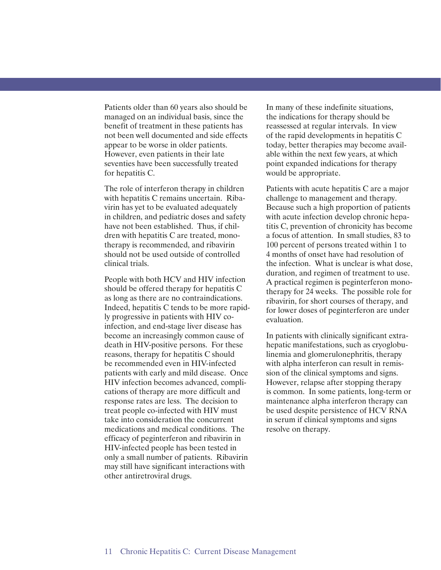Patients older than 60 years also should be managed on an individual basis, since the benefit of treatment in these patients has not been well documented and side effects appear to be worse in older patients. However, even patients in their late seventies have been successfully treated for hepatitis C.

The role of interferon therapy in children with hepatitis C remains uncertain. Ribavirin has yet to be evaluated adequately in children, and pediatric doses and safety have not been established. Thus, if children with hepatitis C are treated, monotherapy is recommended, and ribavirin should not be used outside of controlled clinical trials.

People with both HCV and HIV infection should be offered therapy for hepatitis C as long as there are no contraindications. Indeed, hepatitis C tends to be more rapidly progressive in patients with HIV coinfection, and end-stage liver disease has become an increasingly common cause of death in HIV-positive persons. For these reasons, therapy for hepatitis C should be recommended even in HIV-infected patients with early and mild disease. Once HIV infection becomes advanced, complications of therapy are more difficult and response rates are less. The decision to treat people co-infected with HIV must take into consideration the concurrent medications and medical conditions. The efficacy of peginterferon and ribavirin in HIV-infected people has been tested in only a small number of patients. Ribavirin may still have significant interactions with other antiretroviral drugs.

In many of these indefinite situations, the indications for therapy should be reassessed at regular intervals. In view of the rapid developments in hepatitis C today, better therapies may become available within the next few years, at which point expanded indications for therapy would be appropriate.

Patients with acute hepatitis C are a major challenge to management and therapy. Because such a high proportion of patients with acute infection develop chronic hepatitis C, prevention of chronicity has become a focus of attention. In small studies, 83 to 100 percent of persons treated within 1 to 4 months of onset have had resolution of the infection. What is unclear is what dose, duration, and regimen of treatment to use. A practical regimen is peginterferon monotherapy for 24 weeks. The possible role for ribavirin, for short courses of therapy, and for lower doses of peginterferon are under evaluation.

In patients with clinically significant extrahepatic manifestations, such as cryoglobulinemia and glomerulonephritis, therapy with alpha interferon can result in remission of the clinical symptoms and signs. However, relapse after stopping therapy is common. In some patients, long-term or maintenance alpha interferon therapy can be used despite persistence of HCV RNA in serum if clinical symptoms and signs resolve on therapy.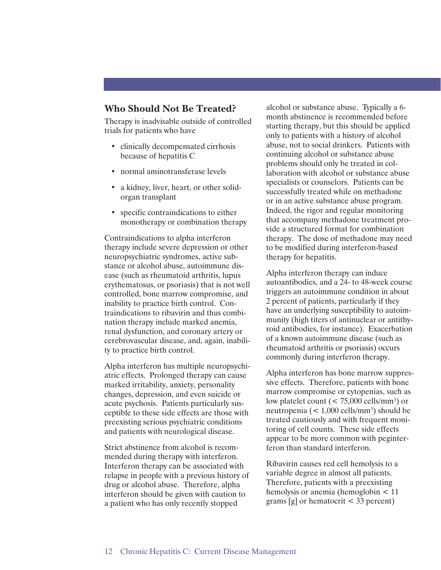#### **Who Should Not Be Treated?**

Therapy is inadvisable outside of controlled trials for patients who have

- clinically decompensated cirrhosis because of hepatitis C
- normal aminotransferase levels
- a kidney, liver, heart, or other solidorgan transplant
- specific contraindications to either monotherapy or combination therapy

Contraindications to alpha interferon therapy include severe depression or other neuropsychiatric syndromes, active substance or alcohol abuse, autoimmune disease (such as rheumatoid arthritis, lupus erythematosus, or psoriasis) that is not well controlled, bone marrow compromise, and inability to practice birth control. Contraindications to ribavirin and thus combination therapy include marked anemia, renal dysfunction, and coronary artery or cerebrovascular disease, and, again, inability to practice birth control.

Alpha interferon has multiple neuropsychiatric effects. Prolonged therapy can cause marked irritability, anxiety, personality changes, depression, and even suicide or acute psychosis. Patients particularly susceptible to these side effects are those with preexisting serious psychiatric conditions and patients with neurological disease.

Strict abstinence from alcohol is recommended during therapy with interferon. Interferon therapy can be associated with relapse in people with a previous history of drug or alcohol abuse. Therefore, alpha interferon should be given with caution to a patient who has only recently stopped

alcohol or substance abuse. Typically a 6 month abstinence is recommended before starting therapy, but this should be applied only to patients with a history of alcohol abuse, not to social drinkers. Patients with continuing alcohol or substance abuse problems should only be treated in collaboration with alcohol or substance abuse specialists or counselors. Patients can be successfully treated while on methadone or in an active substance abuse program. Indeed, the rigor and regular monitoring that accompany methadone treatment provide a structured format for combination therapy. The dose of methadone may need to be modified during interferon-based therapy for hepatitis.

Alpha interferon therapy can induce autoantibodies, and a 24- to 48-week course triggers an autoimmune condition in about 2 percent of patients, particularly if they have an underlying susceptibility to autoimmunity (high titers of antinuclear or antithyroid antibodies, for instance). Exacerbation of a known autoimmune disease (such as rheumatoid arthritis or psoriasis) occurs commonly during interferon therapy.

Alpha interferon has bone marrow suppressive effects. Therefore, patients with bone marrow compromise or cytopenias, such as low platelet count  $(< 75,000 \text{ cells/mm}^3)$  or neutropenia ( $< 1,000$  cells/mm<sup>3</sup>) should be treated cautiously and with frequent monitoring of cell counts. These side effects appear to be more common with peginterferon than standard interferon.

Ribavirin causes red cell hemolysis to a variable degree in almost all patients. Therefore, patients with a preexisting hemolysis or anemia (hemoglobin < 11 grams [g] or hematocrit  $\lt$  33 percent)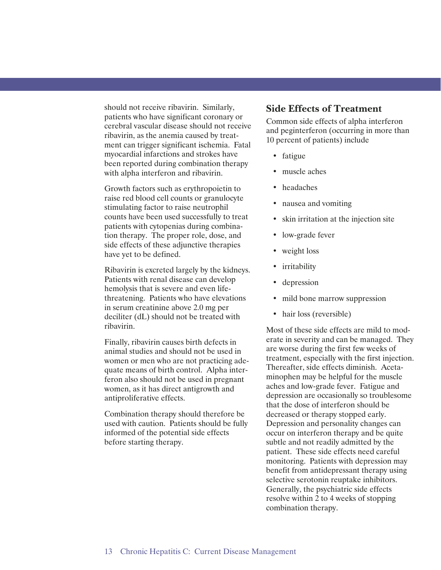should not receive ribavirin. Similarly, patients who have significant coronary or cerebral vascular disease should not receive ribavirin, as the anemia caused by treatment can trigger significant ischemia. Fatal myocardial infarctions and strokes have been reported during combination therapy with alpha interferon and ribavirin.

Growth factors such as erythropoietin to raise red blood cell counts or granulocyte stimulating factor to raise neutrophil counts have been used successfully to treat patients with cytopenias during combination therapy. The proper role, dose, and side effects of these adjunctive therapies have yet to be defined.

Ribavirin is excreted largely by the kidneys. Patients with renal disease can develop hemolysis that is severe and even lifethreatening. Patients who have elevations in serum creatinine above 2.0 mg per deciliter (dL) should not be treated with ribavirin.

Finally, ribavirin causes birth defects in animal studies and should not be used in women or men who are not practicing adequate means of birth control. Alpha interferon also should not be used in pregnant women, as it has direct antigrowth and antiproliferative effects.

Combination therapy should therefore be used with caution. Patients should be fully informed of the potential side effects before starting therapy.

#### **Side Effects of Treatment**

Common side effects of alpha interferon and peginterferon (occurring in more than 10 percent of patients) include

- fatigue
- muscle aches
- headaches
- nausea and vomiting
- skin irritation at the injection site
- low-grade fever
- weight loss
- irritability
- depression
- mild bone marrow suppression
- hair loss (reversible)

Most of these side effects are mild to moderate in severity and can be managed. They are worse during the first few weeks of treatment, especially with the first injection. Thereafter, side effects diminish. Acetaminophen may be helpful for the muscle aches and low-grade fever. Fatigue and depression are occasionally so troublesome that the dose of interferon should be decreased or therapy stopped early. Depression and personality changes can occur on interferon therapy and be quite subtle and not readily admitted by the patient. These side effects need careful monitoring. Patients with depression may benefit from antidepressant therapy using selective serotonin reuptake inhibitors. Generally, the psychiatric side effects resolve within 2 to 4 weeks of stopping combination therapy.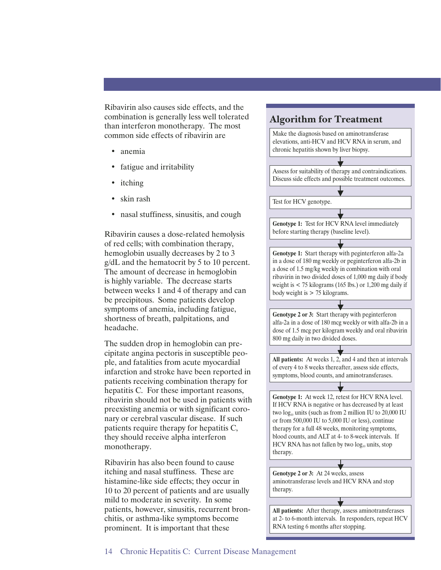Ribavirin also causes side effects, and the combination is generally less well tolerated than interferon monotherapy. The most common side effects of ribavirin are

- anemia
- fatigue and irritability
- itching
- skin rash
- nasal stuffiness, sinusitis, and cough

Ribavirin causes a dose-related hemolysis of red cells; with combination therapy, hemoglobin usually decreases by 2 to 3 g/dL and the hematocrit by 5 to 10 percent. The amount of decrease in hemoglobin is highly variable. The decrease starts between weeks 1 and 4 of therapy and can be precipitous. Some patients develop symptoms of anemia, including fatigue, shortness of breath, palpitations, and headache.

The sudden drop in hemoglobin can precipitate angina pectoris in susceptible people, and fatalities from acute myocardial infarction and stroke have been reported in patients receiving combination therapy for hepatitis C. For these important reasons, ribavirin should not be used in patients with preexisting anemia or with significant coronary or cerebral vascular disease. If such patients require therapy for hepatitis C, they should receive alpha interferon monotherapy.

Ribavirin has also been found to cause itching and nasal stuffiness. These are histamine-like side effects; they occur in 10 to 20 percent of patients and are usually mild to moderate in severity. In some patients, however, sinusitis, recurrent bronchitis, or asthma-like symptoms become prominent. It is important that these

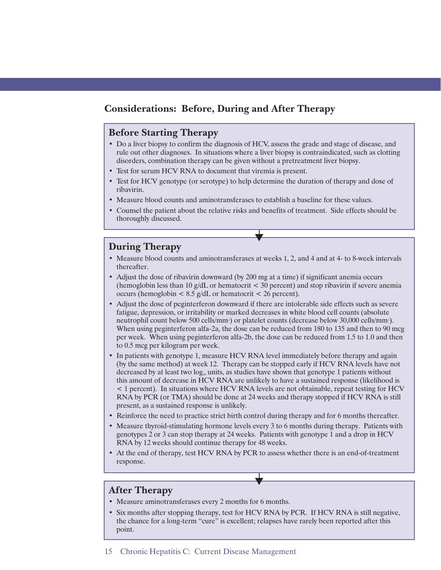# **Considerations: Before, During and After Therapy**

#### **Before Starting Therapy**

- Do a liver biopsy to confirm the diagnosis of HCV, assess the grade and stage of disease, and rule out other diagnoses. In situations where a liver biopsy is contraindicated, such as clotting disorders, combination therapy can be given without a pretreatment liver biopsy.
- Test for serum HCV RNA to document that viremia is present.
- Test for HCV genotype (or serotype) to help determine the duration of therapy and dose of ribavirin.
- Measure blood counts and aminotransferases to establish a baseline for these values.
- Counsel the patient about the relative risks and benefits of treatment. Side effects should be thoroughly discussed.

## **During Therapy**

- Measure blood counts and aminotransferases at weeks 1, 2, and 4 and at 4- to 8-week intervals thereafter.
- Adjust the dose of ribavirin downward (by 200 mg at a time) if significant anemia occurs (hemoglobin less than 10 g/dL or hematocrit < 30 percent) and stop ribavirin if severe anemia occurs (hemoglobin  $\lt$  8.5 g/dL or hematocrit  $\lt$  26 percent).
- Adjust the dose of peginterferon downward if there are intolerable side effects such as severe fatigue, depression, or irritability or marked decreases in white blood cell counts (absolute neutrophil count below 500 cells/mm<sup>3</sup>) or platelet counts (decrease below 30,000 cells/mm<sup>3</sup>). When using peginterferon alfa-2a, the dose can be reduced from 180 to 135 and then to 90 mcg per week. When using peginterferon alfa-2b, the dose can be reduced from 1.5 to 1.0 and then to 0.5 mcg per kilogram per week.
- In patients with genotype 1, measure HCV RNA level immediately before therapy and again (by the same method) at week 12. Therapy can be stopped early if HCV RNA levels have not decreased by at least two  $log_{10}$  units, as studies have shown that genotype 1 patients without this amount of decrease in HCV RNA are unlikely to have a sustained response (likelihood is < 1 percent). In situations where HCV RNA levels are not obtainable, repeat testing for HCV RNA by PCR (or TMA) should be done at 24 weeks and therapy stopped if HCV RNA is still present, as a sustained response is unlikely.
- Reinforce the need to practice strict birth control during therapy and for 6 months thereafter.
- Measure thyroid-stimulating hormone levels every 3 to 6 months during therapy. Patients with genotypes 2 or 3 can stop therapy at 24 weeks. Patients with genotype 1 and a drop in HCV RNA by 12 weeks should continue therapy for 48 weeks.
- At the end of therapy, test HCV RNA by PCR to assess whether there is an end-of-treatment response.

#### **After Therapy**

- Measure aminotransferases every 2 months for 6 months.
- Six months after stopping therapy, test for HCV RNA by PCR. If HCV RNA is still negative, the chance for a long-term "cure" is excellent; relapses have rarely been reported after this point.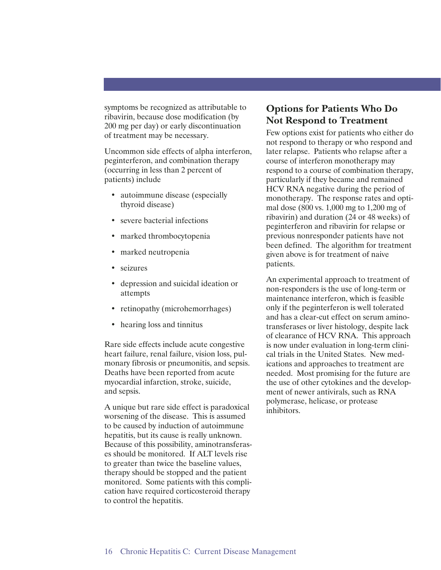symptoms be recognized as attributable to ribavirin, because dose modification (by 200 mg per day) or early discontinuation of treatment may be necessary.

Uncommon side effects of alpha interferon, peginterferon, and combination therapy (occurring in less than 2 percent of patients) include

- autoimmune disease (especially thyroid disease)
- severe bacterial infections
- marked thrombocytopenia
- marked neutropenia
- seizures
- depression and suicidal ideation or attempts
- retinopathy (microhemorrhages)
- hearing loss and tinnitus

Rare side effects include acute congestive heart failure, renal failure, vision loss, pulmonary fibrosis or pneumonitis, and sepsis. Deaths have been reported from acute myocardial infarction, stroke, suicide, and sepsis.

A unique but rare side effect is paradoxical worsening of the disease. This is assumed to be caused by induction of autoimmune hepatitis, but its cause is really unknown. Because of this possibility, aminotransferases should be monitored. If ALT levels rise to greater than twice the baseline values, therapy should be stopped and the patient monitored. Some patients with this complication have required corticosteroid therapy to control the hepatitis.

# **Options for Patients Who Do Not Respond to Treatment**

Few options exist for patients who either do not respond to therapy or who respond and later relapse. Patients who relapse after a course of interferon monotherapy may respond to a course of combination therapy, particularly if they became and remained HCV RNA negative during the period of monotherapy. The response rates and optimal dose (800 vs. 1,000 mg to 1,200 mg of ribavirin) and duration (24 or 48 weeks) of peginterferon and ribavirin for relapse or previous nonresponder patients have not been defined. The algorithm for treatment given above is for treatment of naive patients.

An experimental approach to treatment of non-responders is the use of long-term or maintenance interferon, which is feasible only if the peginterferon is well tolerated and has a clear-cut effect on serum aminotransferases or liver histology, despite lack of clearance of HCV RNA. This approach is now under evaluation in long-term clinical trials in the United States. New medications and approaches to treatment are needed. Most promising for the future are the use of other cytokines and the development of newer antivirals, such as RNA polymerase, helicase, or protease inhibitors.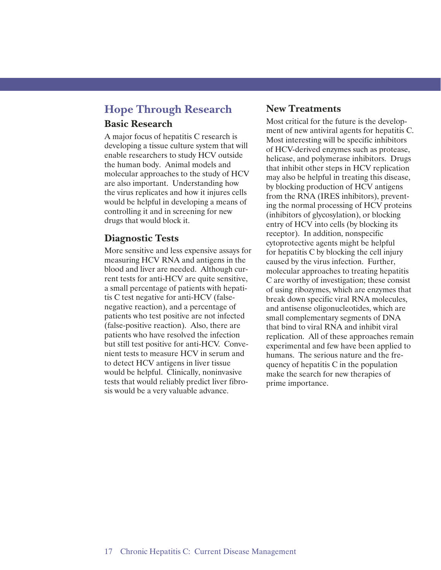# **Hope Through Research**

#### **Basic Research**

A major focus of hepatitis C research is developing a tissue culture system that will enable researchers to study HCV outside the human body. Animal models and molecular approaches to the study of HCV are also important. Understanding how the virus replicates and how it injures cells would be helpful in developing a means of controlling it and in screening for new drugs that would block it.

#### **Diagnostic Tests**

More sensitive and less expensive assays for measuring HCV RNA and antigens in the blood and liver are needed. Although current tests for anti-HCV are quite sensitive, a small percentage of patients with hepatitis C test negative for anti-HCV (falsenegative reaction), and a percentage of patients who test positive are not infected (false-positive reaction). Also, there are patients who have resolved the infection but still test positive for anti-HCV. Convenient tests to measure HCV in serum and to detect HCV antigens in liver tissue would be helpful. Clinically, noninvasive tests that would reliably predict liver fibrosis would be a very valuable advance.

#### **New Treatments**

Most critical for the future is the development of new antiviral agents for hepatitis C. Most interesting will be specific inhibitors of HCV-derived enzymes such as protease, helicase, and polymerase inhibitors. Drugs that inhibit other steps in HCV replication may also be helpful in treating this disease, by blocking production of HCV antigens from the RNA (IRES inhibitors), preventing the normal processing of HCV proteins (inhibitors of glycosylation), or blocking entry of HCV into cells (by blocking its receptor). In addition, nonspecific cytoprotective agents might be helpful for hepatitis C by blocking the cell injury caused by the virus infection. Further, molecular approaches to treating hepatitis C are worthy of investigation; these consist of using ribozymes, which are enzymes that break down specific viral RNA molecules, and antisense oligonucleotides, which are small complementary segments of DNA that bind to viral RNA and inhibit viral replication. All of these approaches remain experimental and few have been applied to humans. The serious nature and the frequency of hepatitis C in the population make the search for new therapies of prime importance.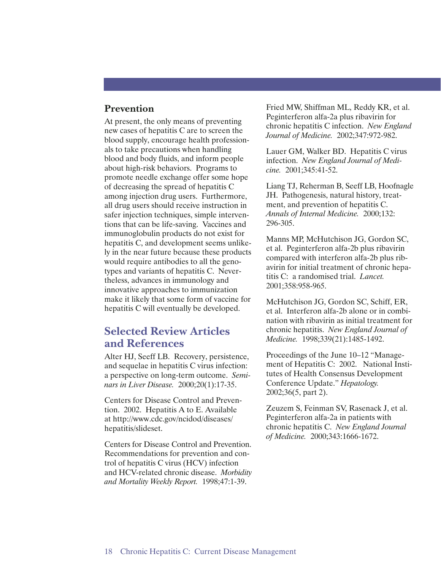#### **Prevention**

At present, the only means of preventing new cases of hepatitis C are to screen the blood supply, encourage health professionals to take precautions when handling blood and body fluids, and inform people about high-risk behaviors. Programs to promote needle exchange offer some hope of decreasing the spread of hepatitis C among injection drug users. Furthermore, all drug users should receive instruction in safer injection techniques, simple interventions that can be life-saving. Vaccines and immunoglobulin products do not exist for hepatitis C, and development seems unlikely in the near future because these products would require antibodies to all the genotypes and variants of hepatitis C. Nevertheless, advances in immunology and innovative approaches to immunization make it likely that some form of vaccine for hepatitis C will eventually be developed.

# **Selected Review Articles and References**

Alter HJ, Seeff LB. Recovery, persistence, and sequelae in hepatitis C virus infection: a perspective on long-term outcome. *Seminars in Liver Disease.* 2000;20(1):17-35.

Centers for Disease Control and Prevention. 2002. Hepatitis A to E. Available at http://www.cdc.gov/ncidod/diseases/ hepatitis/slideset.

Centers for Disease Control and Prevention. Recommendations for prevention and control of hepatitis C virus (HCV) infection and HCV-related chronic disease. *Morbidity and Mortality Weekly Report.* 1998;47:1-39.

Fried MW, Shiffman ML, Reddy KR, et al. Peginterferon alfa-2a plus ribavirin for chronic hepatitis C infection. *New England Journal of Medicine.* 2002;347:972-982.

Lauer GM, Walker BD. Hepatitis C virus infection. *New England Journal of Medicine.* 2001;345:41-52.

Liang TJ, Reherman B, Seeff LB, Hoofnagle JH. Pathogenesis, natural history, treatment, and prevention of hepatitis C. *Annals of Internal Medicine.* 2000;132: 296-305.

Manns MP, McHutchison JG, Gordon SC, et al. Peginterferon alfa-2b plus ribavirin compared with interferon alfa-2b plus ribavirin for initial treatment of chronic hepatitis C: a randomised trial. *Lancet.* 2001;358:958-965.

McHutchison JG, Gordon SC, Schiff, ER, et al. Interferon alfa-2b alone or in combination with ribavirin as initial treatment for chronic hepatitis. *New England Journal of Medicine.* 1998;339(21):1485-1492.

Proceedings of the June 10–12 "Management of Hepatitis C: 2002. National Institutes of Health Consensus Development Conference Update." *Hepatology.* 2002;36(5, part 2).

Zeuzem S, Feinman SV, Rasenack J, et al. Peginterferon alfa-2a in patients with chronic hepatitis C. *New England Journal of Medicine.* 2000;343:1666-1672.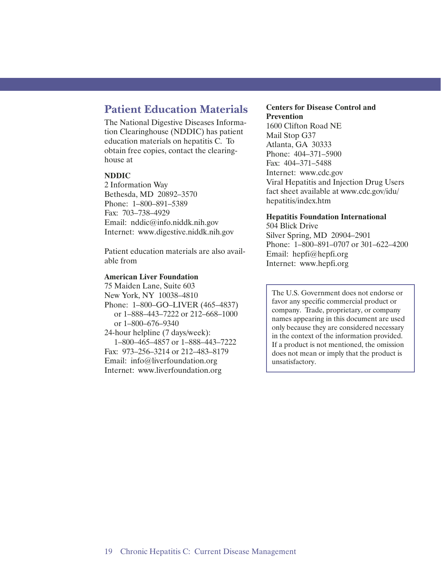# **Patient Education Materials**

The National Digestive Diseases Information Clearinghouse (NDDIC) has patient education materials on hepatitis C. To obtain free copies, contact the clearinghouse at

#### **NDDIC**

2 Information Way Bethesda, MD 20892–3570 Phone: 1–800–891–5389 Fax: 703–738–4929 Email: nddic@info.niddk.nih.gov Internet: www.digestive.niddk.nih.gov

Patient education materials are also available from

#### **American Liver Foundation**

75 Maiden Lane, Suite 603 New York, NY 10038–4810 Phone: 1–800–GO–LIVER (465–4837) or 1–888–443–7222 or 212–668–1000 or 1–800–676–9340 24-hour helpline (7 days/week): 1–800–465–4857 or 1–888–443–7222 Fax: 973–256–3214 or 212–483–8179 Email: info@liverfoundation.org Internet: www.liverfoundation.org

#### **Centers for Disease Control and Prevention**

1600 Clifton Road NE Mail Stop G37 Atlanta, GA 30333 Phone: 404–371–5900 Fax: 404–371–5488 Internet: www.cdc.gov Viral Hepatitis and Injection Drug Users fact sheet available at www.cdc.gov/idu/ hepatitis/index.htm

#### **Hepatitis Foundation International**

504 Blick Drive Silver Spring, MD 20904–2901 Phone: 1–800–891–0707 or 301–622–4200 Email: hepfi@hepfi.org Internet: www.hepfi.org

The U.S. Government does not endorse or favor any specific commercial product or company. Trade, proprietary, or company names appearing in this document are used only because they are considered necessary in the context of the information provided. If a product is not mentioned, the omission does not mean or imply that the product is unsatisfactory.